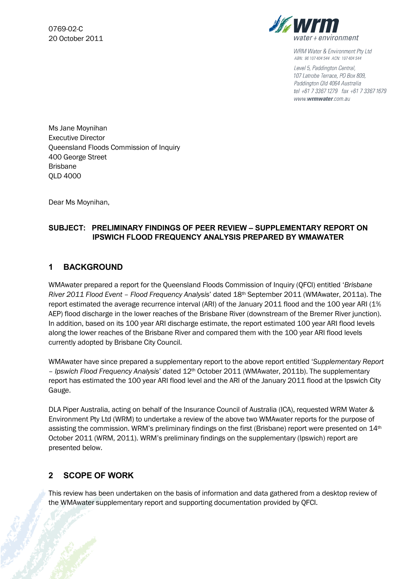

**WRM Water & Environment Pty Ltd** ABN: 96 107 404 544 ACN: 107 404 544

Level 5, Paddington Central, 107 Latrobe Terrace, PO Box 809, Paddington Old 4064 Australia tel +61 7 3367 1279 fax +61 7 3367 1679 www.wrmwater.com.au

Ms Jane Moynihan Executive Director Queensland Floods Commission of Inquiry 400 George Street Brisbane QLD 4000

Dear Ms Moynihan,

#### **SUBJECT: PRELIMINARY FINDINGS OF PEER REVIEW – SUPPLEMENTARY REPORT ON IPSWICH FLOOD FREQUENCY ANALYSIS PREPARED BY WMAWATER**

### **1 BACKGROUND**

WMAwater prepared a report for the Queensland Floods Commission of Inquiry (QFCI) entitled '*Brisbane River 2011 Flood Event – Flood Frequency Analysis*' dated 18th September 2011 (WMAwater, 2011a). The report estimated the average recurrence interval (ARI) of the January 2011 flood and the 100 year ARI (1% AEP) flood discharge in the lower reaches of the Brisbane River (downstream of the Bremer River junction). In addition, based on its 100 year ARI discharge estimate, the report estimated 100 year ARI flood levels along the lower reaches of the Brisbane River and compared them with the 100 year ARI flood levels currently adopted by Brisbane City Council.

WMAwater have since prepared a supplementary report to the above report entitled '*Supplementary Report – Ipswich Flood Frequency Analysis*' dated 12th October 2011 (WMAwater, 2011b). The supplementary report has estimated the 100 year ARI flood level and the ARI of the January 2011 flood at the Ipswich City Gauge.

DLA Piper Australia, acting on behalf of the Insurance Council of Australia (ICA), requested WRM Water & Environment Pty Ltd (WRM) to undertake a review of the above two WMAwater reports for the purpose of assisting the commission. WRM's preliminary findings on the first (Brisbane) report were presented on 14<sup>th</sup> October 2011 (WRM, 2011). WRM's preliminary findings on the supplementary (Ipswich) report are presented below.

## **2 SCOPE OF WORK**

This review has been undertaken on the basis of information and data gathered from a desktop review of the WMAwater supplementary report and supporting documentation provided by QFCI.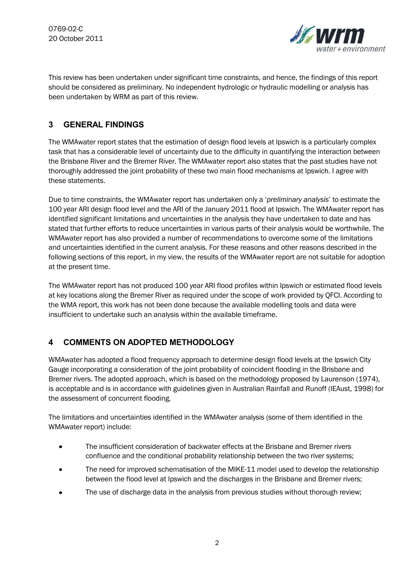

This review has been undertaken under significant time constraints, and hence, the findings of this report should be considered as preliminary. No independent hydrologic or hydraulic modelling or analysis has been undertaken by WRM as part of this review.

# **3 GENERAL FINDINGS**

The WMAwater report states that the estimation of design flood levels at Ipswich is a particularly complex task that has a considerable level of uncertainty due to the difficulty in quantifying the interaction between the Brisbane River and the Bremer River. The WMAwater report also states that the past studies have not thoroughly addressed the joint probability of these two main flood mechanisms at Ipswich. I agree with these statements.

Due to time constraints, the WMAwater report has undertaken only a '*preliminary analysis*' to estimate the 100 year ARI design flood level and the ARI of the January 2011 flood at Ipswich. The WMAwater report has identified significant limitations and uncertainties in the analysis they have undertaken to date and has stated that further efforts to reduce uncertainties in various parts of their analysis would be worthwhile. The WMAwater report has also provided a number of recommendations to overcome some of the limitations and uncertainties identified in the current analysis. For these reasons and other reasons described in the following sections of this report, in my view, the results of the WMAwater report are not suitable for adoption at the present time.

The WMAwater report has not produced 100 year ARI flood profiles within Ipswich or estimated flood levels at key locations along the Bremer River as required under the scope of work provided by QFCI. According to the WMA report, this work has not been done because the available modelling tools and data were insufficient to undertake such an analysis within the available timeframe.

# **4 COMMENTS ON ADOPTED METHODOLOGY**

WMAwater has adopted a flood frequency approach to determine design flood levels at the Ipswich City Gauge incorporating a consideration of the joint probability of coincident flooding in the Brisbane and Bremer rivers. The adopted approach, which is based on the methodology proposed by Laurenson (1974), is acceptable and is in accordance with guidelines given in Australian Rainfall and Runoff (IEAust, 1998) for the assessment of concurrent flooding.

The limitations and uncertainties identified in the WMAwater analysis (some of them identified in the WMAwater report) include:

- The insufficient consideration of backwater effects at the Brisbane and Bremer rivers  $\bullet$ confluence and the conditional probability relationship between the two river systems;
- The need for improved schematisation of the MIKE-11 model used to develop the relationship between the flood level at Ipswich and the discharges in the Brisbane and Bremer rivers;
- The use of discharge data in the analysis from previous studies without thorough review;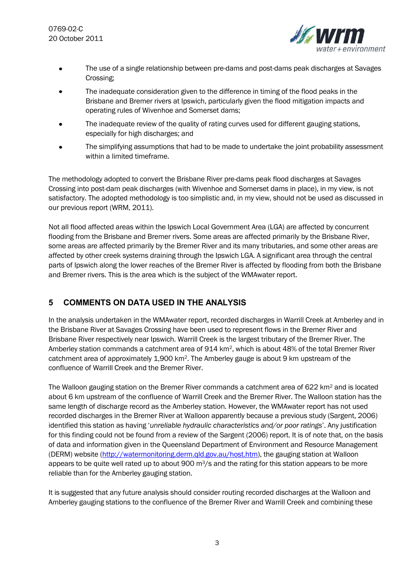

- The use of a single relationship between pre-dams and post-dams peak discharges at Savages  $\bullet$ Crossing;
- The inadequate consideration given to the difference in timing of the flood peaks in the  $\bullet$ Brisbane and Bremer rivers at Ipswich, particularly given the flood mitigation impacts and operating rules of Wivenhoe and Somerset dams;
- The inadequate review of the quality of rating curves used for different gauging stations, especially for high discharges; and
- The simplifying assumptions that had to be made to undertake the joint probability assessment within a limited timeframe.

The methodology adopted to convert the Brisbane River pre-dams peak flood discharges at Savages Crossing into post-dam peak discharges (with Wivenhoe and Somerset dams in place), in my view, is not satisfactory. The adopted methodology is too simplistic and, in my view, should not be used as discussed in our previous report (WRM, 2011).

Not all flood affected areas within the Ipswich Local Government Area (LGA) are affected by concurrent flooding from the Brisbane and Bremer rivers. Some areas are affected primarily by the Brisbane River, some areas are affected primarily by the Bremer River and its many tributaries, and some other areas are affected by other creek systems draining through the Ipswich LGA. A significant area through the central parts of Ipswich along the lower reaches of the Bremer River is affected by flooding from both the Brisbane and Bremer rivers. This is the area which is the subject of the WMAwater report.

# **5 COMMENTS ON DATA USED IN THE ANALYSIS**

In the analysis undertaken in the WMAwater report, recorded discharges in Warrill Creek at Amberley and in the Brisbane River at Savages Crossing have been used to represent flows in the Bremer River and Brisbane River respectively near Ipswich. Warrill Creek is the largest tributary of the Bremer River. The Amberley station commands a catchment area of 914 km2, which is about 48% of the total Bremer River catchment area of approximately 1,900 km2. The Amberley gauge is about 9 km upstream of the confluence of Warrill Creek and the Bremer River.

The Walloon gauging station on the Bremer River commands a catchment area of 622 km<sup>2</sup> and is located about 6 km upstream of the confluence of Warrill Creek and the Bremer River. The Walloon station has the same length of discharge record as the Amberley station. However, the WMAwater report has not used recorded discharges in the Bremer River at Walloon apparently because a previous study (Sargent, 2006) identified this station as having '*unreliable hydraulic characteristics and/or poor ratings*'. Any justification for this finding could not be found from a review of the Sargent (2006) report. It is of note that, on the basis of data and information given in the Queensland Department of Environment and Resource Management (DERM) website [\(http://watermonitoring.derm.qld.gov.au/host.htm\)](http://watermonitoring.derm.qld.gov.au/host.htm), the gauging station at Walloon appears to be quite well rated up to about 900  $m^3/s$  and the rating for this station appears to be more reliable than for the Amberley gauging station.

It is suggested that any future analysis should consider routing recorded discharges at the Walloon and Amberley gauging stations to the confluence of the Bremer River and Warrill Creek and combining these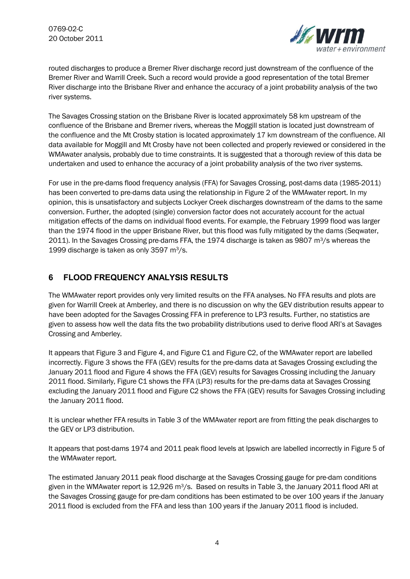

routed discharges to produce a Bremer River discharge record just downstream of the confluence of the Bremer River and Warrill Creek. Such a record would provide a good representation of the total Bremer River discharge into the Brisbane River and enhance the accuracy of a joint probability analysis of the two river systems.

The Savages Crossing station on the Brisbane River is located approximately 58 km upstream of the confluence of the Brisbane and Bremer rivers, whereas the Moggill station is located just downstream of the confluence and the Mt Crosby station is located approximately 17 km downstream of the confluence. All data available for Moggill and Mt Crosby have not been collected and properly reviewed or considered in the WMAwater analysis, probably due to time constraints. It is suggested that a thorough review of this data be undertaken and used to enhance the accuracy of a joint probability analysis of the two river systems.

For use in the pre-dams flood frequency analysis (FFA) for Savages Crossing, post-dams data (1985-2011) has been converted to pre-dams data using the relationship in Figure 2 of the WMAwater report. In my opinion, this is unsatisfactory and subjects Lockyer Creek discharges downstream of the dams to the same conversion. Further, the adopted (single) conversion factor does not accurately account for the actual mitigation effects of the dams on individual flood events. For example, the February 1999 flood was larger than the 1974 flood in the upper Brisbane River, but this flood was fully mitigated by the dams (Seqwater, 2011). In the Savages Crossing pre-dams FFA, the 1974 discharge is taken as 9807 m<sup>3</sup>/s whereas the 1999 discharge is taken as only 3597 m<sup>3</sup>/s.

## **6 FLOOD FREQUENCY ANALYSIS RESULTS**

The WMAwater report provides only very limited results on the FFA analyses. No FFA results and plots are given for Warrill Creek at Amberley, and there is no discussion on why the GEV distribution results appear to have been adopted for the Savages Crossing FFA in preference to LP3 results. Further, no statistics are given to assess how well the data fits the two probability distributions used to derive flood ARI's at Savages Crossing and Amberley.

It appears that Figure 3 and Figure 4, and Figure C1 and Figure C2, of the WMAwater report are labelled incorrectly. Figure 3 shows the FFA (GEV) results for the pre-dams data at Savages Crossing excluding the January 2011 flood and Figure 4 shows the FFA (GEV) results for Savages Crossing including the January 2011 flood. Similarly, Figure C1 shows the FFA (LP3) results for the pre-dams data at Savages Crossing excluding the January 2011 flood and Figure C2 shows the FFA (GEV) results for Savages Crossing including the January 2011 flood.

It is unclear whether FFA results in Table 3 of the WMAwater report are from fitting the peak discharges to the GEV or LP3 distribution.

It appears that post-dams 1974 and 2011 peak flood levels at Ipswich are labelled incorrectly in Figure 5 of the WMAwater report.

The estimated January 2011 peak flood discharge at the Savages Crossing gauge for pre-dam conditions given in the WMAwater report is  $12,926$  m<sup>3</sup>/s. Based on results in Table 3, the January 2011 flood ARI at the Savages Crossing gauge for pre-dam conditions has been estimated to be over 100 years if the January 2011 flood is excluded from the FFA and less than 100 years if the January 2011 flood is included.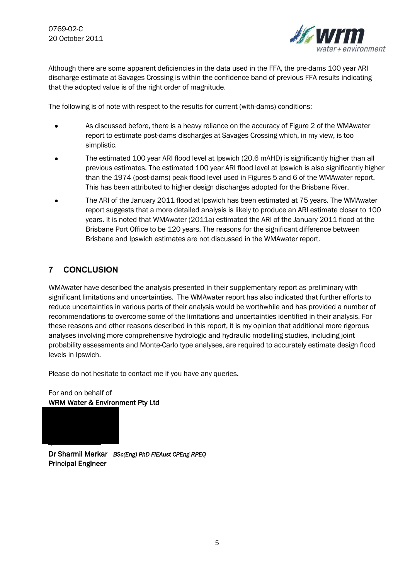

Although there are some apparent deficiencies in the data used in the FFA, the pre-dams 100 year ARI discharge estimate at Savages Crossing is within the confidence band of previous FFA results indicating that the adopted value is of the right order of magnitude.

The following is of note with respect to the results for current (with-dams) conditions:

- As discussed before, there is a heavy reliance on the accuracy of Figure 2 of the WMAwater report to estimate post-dams discharges at Savages Crossing which, in my view, is too simplistic.
- The estimated 100 year ARI flood level at Ipswich (20.6 mAHD) is significantly higher than all previous estimates. The estimated 100 year ARI flood level at Ipswich is also significantly higher than the 1974 (post-dams) peak flood level used in Figures 5 and 6 of the WMAwater report. This has been attributed to higher design discharges adopted for the Brisbane River.
- The ARI of the January 2011 flood at Ipswich has been estimated at 75 years. The WMAwater report suggests that a more detailed analysis is likely to produce an ARI estimate closer to 100 years. It is noted that WMAwater (2011a) estimated the ARI of the January 2011 flood at the Brisbane Port Office to be 120 years. The reasons for the significant difference between Brisbane and Ipswich estimates are not discussed in the WMAwater report.

### **7 CONCLUSION**

WMAwater have described the analysis presented in their supplementary report as preliminary with significant limitations and uncertainties. The WMAwater report has also indicated that further efforts to reduce uncertainties in various parts of their analysis would be worthwhile and has provided a number of recommendations to overcome some of the limitations and uncertainties identified in their analysis. For these reasons and other reasons described in this report, it is my opinion that additional more rigorous analyses involving more comprehensive hydrologic and hydraulic modelling studies, including joint probability assessments and Monte-Carlo type analyses, are required to accurately estimate design flood levels in Ipswich.

Please do not hesitate to contact me if you have any queries.

For and on behalf of WRM Water & Environment Pty Ltd

Dr Sharmil Markar *BSc(Eng) PhD FIEAust CPEng RPEQ* Principal Engineer